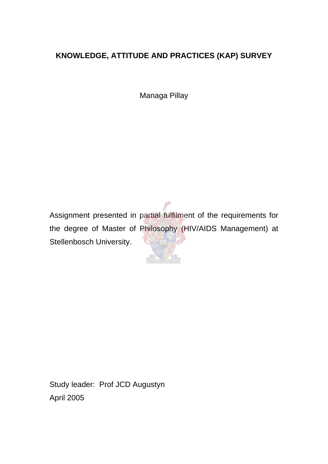# **KNOWLEDGE, ATTITUDE AND PRACTICES (KAP) SURVEY**

Managa Pillay

Assignment presented in partial fulfilment of the requirements for the degree of Master of Philosophy (HIV/AIDS Management) at Stellenbosch University.

Study leader: Prof JCD Augustyn April 2005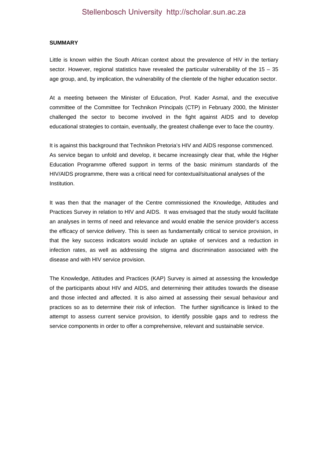#### **SUMMARY**

Little is known within the South African context about the prevalence of HIV in the tertiary sector. However, regional statistics have revealed the particular vulnerability of the 15 – 35 age group, and, by implication, the vulnerability of the clientele of the higher education sector.

At a meeting between the Minister of Education, Prof. Kader Asmal, and the executive committee of the Committee for Technikon Principals (CTP) in February 2000, the Minister challenged the sector to become involved in the fight against AIDS and to develop educational strategies to contain, eventually, the greatest challenge ever to face the country.

It is against this background that Technikon Pretoria's HIV and AIDS response commenced. As service began to unfold and develop, it became increasingly clear that, while the Higher Education Programme offered support in terms of the basic minimum standards of the HIV/AIDS programme, there was a critical need for contextual/situational analyses of the Institution.

It was then that the manager of the Centre commissioned the Knowledge, Attitudes and Practices Survey in relation to HIV and AIDS. It was envisaged that the study would facilitate an analyses in terms of need and relevance and would enable the service provider's access the efficacy of service delivery. This is seen as fundamentally critical to service provision, in that the key success indicators would include an uptake of services and a reduction in infection rates, as well as addressing the stigma and discrimination associated with the disease and with HIV service provision.

The Knowledge, Attitudes and Practices (KAP) Survey is aimed at assessing the knowledge of the participants about HIV and AIDS, and determining their attitudes towards the disease and those infected and affected. It is also aimed at assessing their sexual behaviour and practices so as to determine their risk of infection. The further significance is linked to the attempt to assess current service provision, to identify possible gaps and to redress the service components in order to offer a comprehensive, relevant and sustainable service.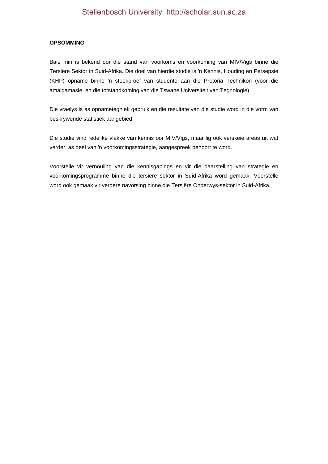#### **OPSOMMING**

Baie min is bekend oor die stand van voorkoms en voorkoming van MIV/Vigs binne die Tersiëre Sektor in Suid-Afrika. Die doel van hierdie studie is 'n Kennis, Houding en Persepsie (KHP) opname binne 'n steekproef van studente aan die Pretoria Technikon (voor die amalgamasie, en die totstandkoming van die Tswane Universiteit van Tegnologie).

Die vraelys is as opnametegniek gebruik en die resultate van die studie word in die vorm van beskrywende statistiek aangebied.

Die studie vind redelike vlakke van kennis oor MIV/Vigs, maar lig ook verskeie areas uit wat verder, as deel van 'n voorkomingsstrategie, aangespreek behoort te word.

Voorstelle vir vernouiing van die kennisgapings en vir die daarstelling van strategië en voorkomingsprogramme binne die tersiëre sektor in Suid-Afrika word gemaak. Voorstelle word ook gemaak vir verdere navorsing binne die Tersiëre Onderwys-sektor in Suid-Afrika.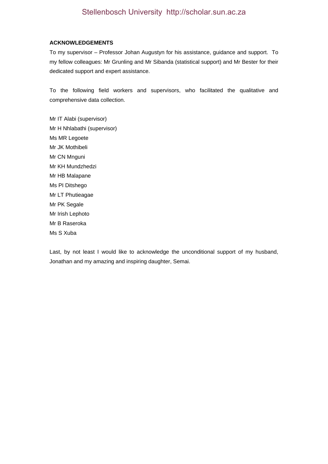#### **ACKNOWLEDGEMENTS**

To my supervisor – Professor Johan Augustyn for his assistance, guidance and support. To my fellow colleagues: Mr Grunling and Mr Sibanda (statistical support) and Mr Bester for their dedicated support and expert assistance.

To the following field workers and supervisors, who facilitated the qualitative and comprehensive data collection.

Mr IT Alabi (supervisor) Mr H Nhlabathi (supervisor) Ms MR Legoete Mr JK Mothibeli Mr CN Mnguni Mr KH Mundzhedzi Mr HB Malapane Ms PI Ditshego Mr LT Phutieagae Mr PK Segale Mr Irish Lephoto Mr B Raseroka Ms S Xuba

Last, by not least I would like to acknowledge the unconditional support of my husband, Jonathan and my amazing and inspiring daughter, Semai.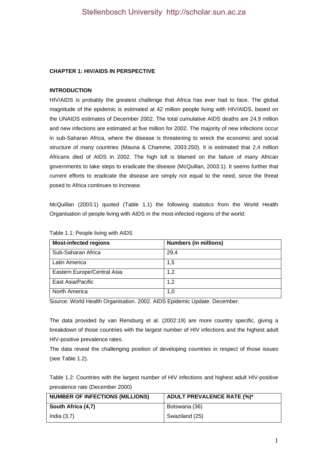### **CHAPTER 1: HIV/AIDS IN PERSPECTIVE**

### **INTRODUCTION**

HIV/AIDS is probably the greatest challenge that Africa has ever had to face. The global magnitude of the epidemic is estimated at 42 million people living with HIV/AIDS, based on the UNAIDS estimates of December 2002. The total cumulative AIDS deaths are 24,9 million and new infections are estimated at five million for 2002. The majority of new infections occur in sub-Saharan Africa, where the disease is threatening to wreck the economic and social structure of many countries (Mauna & Chamme, 2003:250). It is estimated that 2,4 million Africans died of AIDS in 2002. The high toll is blamed on the failure of many African governments to take steps to eradicate the disease (McQuillan, 2003:1). It seems further that current efforts to eradicate the disease are simply not equal to the need, since the threat posed to Africa continues to increase.

McQuillan (2003:1) quoted (Table 1.1) the following statistics from the World Health Organisation of people living with AIDS in the most-infected regions of the world:

| <b>Most-infected regions</b> | <b>Numbers (in millions)</b> |
|------------------------------|------------------------------|
| Sub-Saharan Africa           | 29,4                         |
| Latin America                | 1,5                          |
| Eastern Europe/Central Asia  | 1,2                          |
| East Asia/Pacific            | 1,2                          |
| North America                | 1,0                          |

Table 1.1: People living with AIDS

Source: World Health Organisation. 2002. AIDS Epidemic Update. December.

The data provided by van Rensburg et al. (2002:19) are more country specific, giving a breakdown of those countries with the largest number of HIV infections and the highest adult HIV-positive prevalence rates.

The data reveal the challenging position of developing countries in respect of those issues (see Table 1.2).

Table 1.2: Countries with the largest number of HIV infections and highest adult HIV-positive prevalence rate (December 2000)

| NUMBER OF INFECTIONS (MILLIONS) | <b>ADULT PREVALENCE RATE (%)*</b> |
|---------------------------------|-----------------------------------|
| South Africa (4,7)              | Botswana (36)                     |
| India(3,7)                      | Swaziland (25)                    |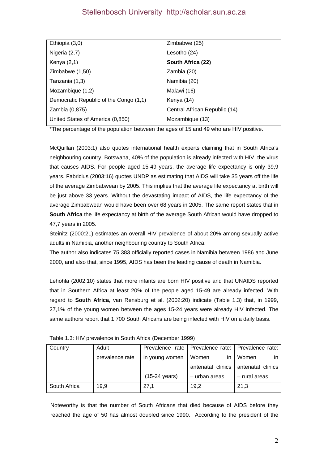| Ethiopia (3,0)                         | Zimbabwe (25)                 |
|----------------------------------------|-------------------------------|
| Nigeria (2,7)                          | Lesotho (24)                  |
| Kenya $(2,1)$                          | South Africa (22)             |
| Zimbabwe (1,50)                        | Zambia (20)                   |
| Tanzania (1,3)                         | Namibia (20)                  |
| Mozambique (1,2)                       | Malawi (16)                   |
| Democratic Republic of the Congo (1,1) | Kenya (14)                    |
| Zambia (0,875)                         | Central African Republic (14) |
| United States of America (0,850)       | Mozambique (13)               |

\*The percentage of the population between the ages of 15 and 49 who are HIV positive.

McQuillan (2003:1) also quotes international health experts claiming that in South Africa's neighbouring country, Botswana, 40% of the population is already infected with HIV, the virus that causes AIDS. For people aged 15-49 years, the average life expectancy is only 39,9 years. Fabricius (2003:16) quotes UNDP as estimating that AIDS will take 35 years off the life of the average Zimbabwean by 2005. This implies that the average life expectancy at birth will be just above 33 years. Without the devastating impact of AIDS, the life expectancy of the average Zimbabwean would have been over 68 years in 2005. The same report states that in **South Africa** the life expectancy at birth of the average South African would have dropped to 47,7 years in 2005.

Steinitz (2000:21) estimates an overall HIV prevalence of about 20% among sexually active adults in Namibia, another neighbouring country to South Africa.

The author also indicates 75 383 officially reported cases in Namibia between 1986 and June 2000, and also that, since 1995, AIDS has been the leading cause of death in Namibia.

Lehohla (2002:10) states that more infants are born HIV positive and that UNAIDS reported that in Southern Africa at least 20% of the people aged 15-49 are already infected. With regard to **South Africa,** van Rensburg et al. (2002:20) indicate (Table 1.3) that, in 1999, 27,1% of the young women between the ages 15-24 years were already HIV infected. The same authors report that 1 700 South Africans are being infected with HIV on a daily basis.

| Country      | Adult           |                         | Prevalence rate   Prevalence rate:   Prevalence rate: |                   |
|--------------|-----------------|-------------------------|-------------------------------------------------------|-------------------|
|              | prevalence rate | in young women          | Women<br>in.                                          | Women             |
|              |                 |                         | antenatal clinics                                     | antenatal clinics |
|              |                 | $(15-24 \text{ years})$ | - urban areas                                         | - rural areas     |
| South Africa | 19.9            | 27.1                    | 19.2                                                  | 21,3              |

|  | Table 1.3: HIV prevalence in South Africa (December 1999) |  |
|--|-----------------------------------------------------------|--|

Noteworthy is that the number of South Africans that died because of AIDS before they reached the age of 50 has almost doubled since 1990. According to the president of the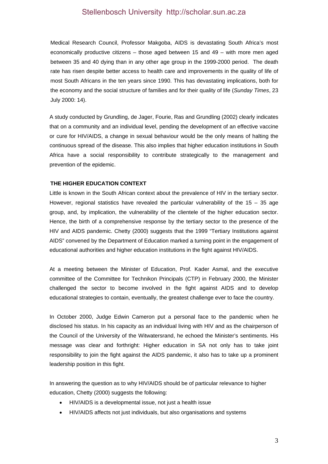Medical Research Council, Professor Makgoba, AIDS is devastating South Africa's most economically productive citizens – those aged between 15 and 49 – with more men aged between 35 and 40 dying than in any other age group in the 1999-2000 period. The death rate has risen despite better access to health care and improvements in the quality of life of most South Africans in the ten years since 1990. This has devastating implications, both for the economy and the social structure of families and for their quality of life (*Sunday Times*, 23 July 2000: 14).

A study conducted by Grundling, de Jager, Fourie, Ras and Grundling (2002) clearly indicates that on a community and an individual level, pending the development of an effective vaccine or cure for HIV/AIDS, a change in sexual behaviour would be the only means of halting the continuous spread of the disease. This also implies that higher education institutions in South Africa have a social responsibility to contribute strategically to the management and prevention of the epidemic.

#### **THE HIGHER EDUCATION CONTEXT**

Little is known in the South African context about the prevalence of HIV in the tertiary sector. However, regional statistics have revealed the particular vulnerability of the  $15 - 35$  age group, and, by implication, the vulnerability of the clientele of the higher education sector. Hence, the birth of a comprehensive response by the tertiary sector to the presence of the HIV and AIDS pandemic. Chetty (2000) suggests that the 1999 "Tertiary Institutions against AIDS" convened by the Department of Education marked a turning point in the engagement of educational authorities and higher education institutions in the fight against HIV/AIDS.

At a meeting between the Minister of Education, Prof. Kader Asmal, and the executive committee of the Committee for Technikon Principals (CTP) in February 2000, the Minister challenged the sector to become involved in the fight against AIDS and to develop educational strategies to contain, eventually, the greatest challenge ever to face the country.

In October 2000, Judge Edwin Cameron put a personal face to the pandemic when he disclosed his status. In his capacity as an individual living with HIV and as the chairperson of the Council of the University of the Witwatersrand, he echoed the Minister's sentiments. His message was clear and forthright: Higher education in SA not only has to take joint responsibility to join the fight against the AIDS pandemic, it also has to take up a prominent leadership position in this fight.

In answering the question as to why HIV/AIDS should be of particular relevance to higher education, Chetty (2000) suggests the following:

- HIV/AIDS is a developmental issue, not just a health issue
- HIV/AIDS affects not just individuals, but also organisations and systems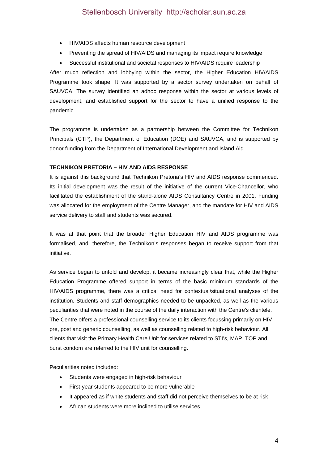- HIV/AIDS affects human resource development
- Preventing the spread of HIV/AIDS and managing its impact require knowledge
- Successful institutional and societal responses to HIV/AIDS require leadership

After much reflection and lobbying within the sector, the Higher Education HIV/AIDS Programme took shape. It was supported by a sector survey undertaken on behalf of SAUVCA. The survey identified an adhoc response within the sector at various levels of development, and established support for the sector to have a unified response to the pandemic.

The programme is undertaken as a partnership between the Committee for Technikon Principals (CTP), the Department of Education (DOE) and SAUVCA, and is supported by donor funding from the Department of International Development and Island Aid.

# **TECHNIKON PRETORIA – HIV AND AIDS RESPONSE**

It is against this background that Technikon Pretoria's HIV and AIDS response commenced. Its initial development was the result of the initiative of the current Vice-Chancellor, who facilitated the establishment of the stand-alone AIDS Consultancy Centre in 2001. Funding was allocated for the employment of the Centre Manager, and the mandate for HIV and AIDS service delivery to staff and students was secured.

It was at that point that the broader Higher Education HIV and AIDS programme was formalised, and, therefore, the Technikon's responses began to receive support from that initiative.

As service began to unfold and develop, it became increasingly clear that, while the Higher Education Programme offered support in terms of the basic minimum standards of the HIV/AIDS programme, there was a critical need for contextual/situational analyses of the institution. Students and staff demographics needed to be unpacked, as well as the various peculiarities that were noted in the course of the daily interaction with the Centre's clientele. The Centre offers a professional counselling service to its clients focussing primarily on HIV pre, post and generic counselling, as well as counselling related to high-risk behaviour. All clients that visit the Primary Health Care Unit for services related to STI's, MAP, TOP and burst condom are referred to the HIV unit for counselling.

Peculiarities noted included:

- Students were engaged in high-risk behaviour
- First-year students appeared to be more vulnerable
- It appeared as if white students and staff did not perceive themselves to be at risk
- African students were more inclined to utilise services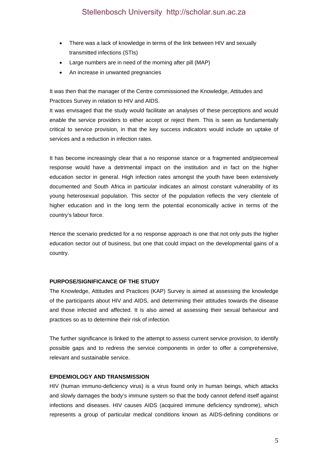- There was a lack of knowledge in terms of the link between HIV and sexually transmitted infections (STIs)
- Large numbers are in need of the morning after pill (MAP)
- An increase in unwanted pregnancies

It was then that the manager of the Centre commissioned the Knowledge, Attitudes and Practices Survey in relation to HIV and AIDS.

It was envisaged that the study would facilitate an analyses of these perceptions and would enable the service providers to either accept or reject them. This is seen as fundamentally critical to service provision, in that the key success indicators would include an uptake of services and a reduction in infection rates.

It has become increasingly clear that a no response stance or a fragmented and/piecemeal response would have a detrimental impact on the institution and in fact on the higher education sector in general. High infection rates amongst the youth have been extensively documented and South Africa in particular indicates an almost constant vulnerability of its young heterosexual population. This sector of the population reflects the very clientele of higher education and in the long term the potential economically active in terms of the country's labour force.

Hence the scenario predicted for a no response approach is one that not only puts the higher education sector out of business, but one that could impact on the developmental gains of a country.

### **PURPOSE/SIGNIFICANCE OF THE STUDY**

The Knowledge, Attitudes and Practices (KAP) Survey is aimed at assessing the knowledge of the participants about HIV and AIDS, and determining their attitudes towards the disease and those infected and affected. It is also aimed at assessing their sexual behaviour and practices so as to determine their risk of infection.

The further significance is linked to the attempt to assess current service provision, to identify possible gaps and to redress the service components in order to offer a comprehensive, relevant and sustainable service.

### **EPIDEMIOLOGY AND TRANSMISSION**

HIV (human immuno-deficiency virus) is a virus found only in human beings, which attacks and slowly damages the body's immune system so that the body cannot defend itself against infections and diseases. HIV causes AIDS (acquired immune deficiency syndrome), which represents a group of particular medical conditions known as AIDS-defining conditions or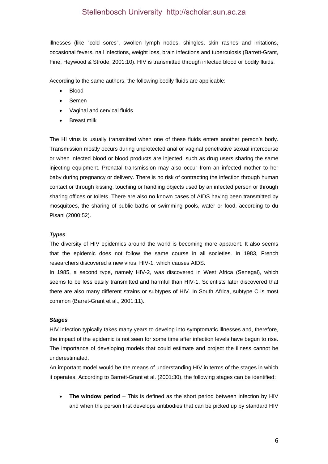illnesses (like "cold sores", swollen lymph nodes, shingles, skin rashes and irritations, occasional fevers, nail infections, weight loss, brain infections and tuberculosis (Barrett-Grant, Fine, Heywood & Strode, 2001:10). HIV is transmitted through infected blood or bodily fluids.

According to the same authors, the following bodily fluids are applicable:

- Blood
- Semen
- Vaginal and cervical fluids
- Breast milk

The HI virus is usually transmitted when one of these fluids enters another person's body. Transmission mostly occurs during unprotected anal or vaginal penetrative sexual intercourse or when infected blood or blood products are injected, such as drug users sharing the same injecting equipment. Prenatal transmission may also occur from an infected mother to her baby during pregnancy or delivery. There is no risk of contracting the infection through human contact or through kissing, touching or handling objects used by an infected person or through sharing offices or toilets. There are also no known cases of AIDS having been transmitted by mosquitoes, the sharing of public baths or swimming pools, water or food, according to du Pisani (2000:52).

#### *Types*

The diversity of HIV epidemics around the world is becoming more apparent. It also seems that the epidemic does not follow the same course in all societies. In 1983, French researchers discovered a new virus, HIV-1, which causes AIDS.

In 1985, a second type, namely HIV-2, was discovered in West Africa (Senegal), which seems to be less easily transmitted and harmful than HIV-1. Scientists later discovered that there are also many different strains or subtypes of HIV. In South Africa, subtype C is most common (Barret-Grant et al., 2001:11).

#### *Stages*

HIV infection typically takes many years to develop into symptomatic illnesses and, therefore, the impact of the epidemic is not seen for some time after infection levels have begun to rise. The importance of developing models that could estimate and project the illness cannot be underestimated.

An important model would be the means of understanding HIV in terms of the stages in which it operates. According to Barrett-Grant et al. (2001:30), the following stages can be identified:

 **The window period** – This is defined as the short period between infection by HIV and when the person first develops antibodies that can be picked up by standard HIV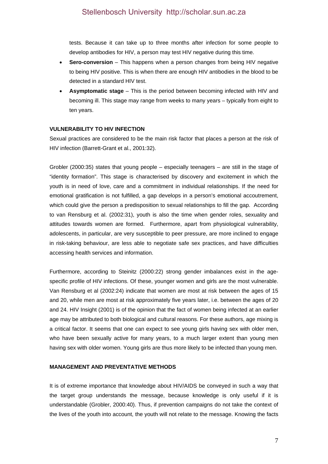tests. Because it can take up to three months after infection for some people to develop antibodies for HIV, a person may test HIV negative during this time.

- **Sero-conversion** This happens when a person changes from being HIV negative to being HIV positive. This is when there are enough HIV antibodies in the blood to be detected in a standard HIV test.
- **Asymptomatic stage**  This is the period between becoming infected with HIV and becoming ill. This stage may range from weeks to many years – typically from eight to ten years.

# **VULNERABILITY TO HIV INFECTION**

Sexual practices are considered to be the main risk factor that places a person at the risk of HIV infection (Barrett-Grant et al., 2001:32).

Grobler (2000:35) states that young people – especially teenagers – are still in the stage of "identity formation". This stage is characterised by discovery and excitement in which the youth is in need of love, care and a commitment in individual relationships. If the need for emotional gratification is not fulfilled, a gap develops in a person's emotional accoutrement, which could give the person a predisposition to sexual relationships to fill the gap. According to van Rensburg et al. (2002:31), youth is also the time when gender roles, sexuality and attitudes towards women are formed. Furthermore, apart from physiological vulnerability, adolescents, in particular, are very susceptible to peer pressure, are more inclined to engage in risk-taking behaviour, are less able to negotiate safe sex practices, and have difficulties accessing health services and information.

Furthermore, according to Steinitz (2000:22) strong gender imbalances exist in the agespecific profile of HIV infections. Of these, younger women and girls are the most vulnerable. Van Rensburg et al (2002:24) indicate that women are most at risk between the ages of 15 and 20, while men are most at risk approximately five years later, i.e. between the ages of 20 and 24. HIV Insight (2001) is of the opinion that the fact of women being infected at an earlier age may be attributed to both biological and cultural reasons. For these authors, age mixing is a critical factor. It seems that one can expect to see young girls having sex with older men, who have been sexually active for many years, to a much larger extent than young men having sex with older women. Young girls are thus more likely to be infected than young men.

### **MANAGEMENT AND PREVENTATIVE METHODS**

It is of extreme importance that knowledge about HIV/AIDS be conveyed in such a way that the target group understands the message, because knowledge is only useful if it is understandable (Grobler, 2000:40). Thus, if prevention campaigns do not take the context of the lives of the youth into account, the youth will not relate to the message. Knowing the facts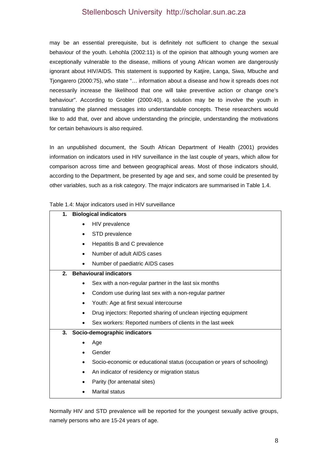may be an essential prerequisite, but is definitely not sufficient to change the sexual behaviour of the youth. Lehohla (2002:11) is of the opinion that although young women are exceptionally vulnerable to the disease, millions of young African women are dangerously ignorant about HIV/AIDS. This statement is supported by Katjire, Langa, Siwa, Mbuche and Tjongarero (2000:75), who state "… information about a disease and how it spreads does not necessarily increase the likelihood that one will take preventive action or change one's behaviour". According to Grobler (2000:40), a solution may be to involve the youth in translating the planned messages into understandable concepts. These researchers would like to add that, over and above understanding the principle, understanding the motivations for certain behaviours is also required.

In an unpublished document, the South African Department of Health (2001) provides information on indicators used in HIV surveillance in the last couple of years, which allow for comparison across time and between geographical areas. Most of those indicators should, according to the Department, be presented by age and sex, and some could be presented by other variables, such as a risk category. The major indicators are summarised in Table 1.4.

Table 1.4: Major indicators used in HIV surveillance

|      |           | rable 1.4. Major mucators used in rire surveniance                      |
|------|-----------|-------------------------------------------------------------------------|
| 1.   |           | <b>Biological indicators</b>                                            |
|      |           | HIV prevalence                                                          |
|      | $\bullet$ | STD prevalence                                                          |
|      | $\bullet$ | Hepatitis B and C prevalence                                            |
|      | $\bullet$ | Number of adult AIDS cases                                              |
|      | $\bullet$ | Number of paediatric AIDS cases                                         |
| $2-$ |           | <b>Behavioural indicators</b>                                           |
|      |           | Sex with a non-regular partner in the last six months                   |
|      |           | Condom use during last sex with a non-regular partner                   |
|      |           | Youth: Age at first sexual intercourse                                  |
|      |           | Drug injectors: Reported sharing of unclean injecting equipment         |
|      |           | Sex workers: Reported numbers of clients in the last week               |
| 3.   |           | Socio-demographic indicators                                            |
|      |           | Age                                                                     |
|      |           | Gender                                                                  |
|      |           | Socio-economic or educational status (occupation or years of schooling) |
|      |           | An indicator of residency or migration status                           |
|      |           | Parity (for antenatal sites)                                            |
|      |           |                                                                         |

Marital status

Normally HIV and STD prevalence will be reported for the youngest sexually active groups, namely persons who are 15-24 years of age.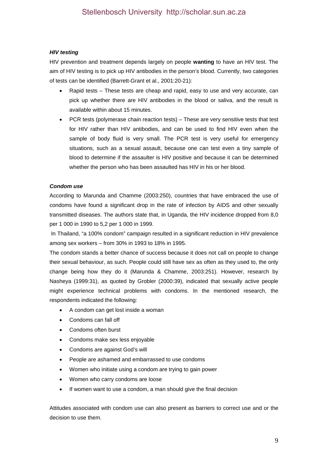### *HIV testing*

HIV prevention and treatment depends largely on people **wanting** to have an HIV test. The aim of HIV testing is to pick up HIV antibodies in the person's blood. Currently, two categories of tests can be identified (Barrett-Grant et al., 2001:20-21):

- Rapid tests These tests are cheap and rapid, easy to use and very accurate, can pick up whether there are HIV antibodies in the blood or saliva, and the result is available within about 15 minutes.
- PCR tests (polymerase chain reaction tests) These are very sensitive tests that test for HIV rather than HIV antibodies, and can be used to find HIV even when the sample of body fluid is very small. The PCR test is very useful for emergency situations, such as a sexual assault, because one can test even a tiny sample of blood to determine if the assaulter is HIV positive and because it can be determined whether the person who has been assaulted has HIV in his or her blood.

# *Condom use*

According to Marunda and Chamme (2003:250), countries that have embraced the use of condoms have found a significant drop in the rate of infection by AIDS and other sexually transmitted diseases. The authors state that, in Uganda, the HIV incidence dropped from 8,0 per 1 000 in 1990 to 5,2 per 1 000 in 1999.

 In Thailand, "a 100% condom" campaign resulted in a significant reduction in HIV prevalence among sex workers – from 30% in 1993 to 18% in 1995.

The condom stands a better chance of success because it does not call on people to change their sexual behaviour, as such. People could still have sex as often as they used to, the only change being how they do it (Marunda & Chamme, 2003:251). However, research by Nasheya (1999:31), as quoted by Grobler (2000:39), indicated that sexually active people might experience technical problems with condoms. In the mentioned research, the respondents indicated the following:

- A condom can get lost inside a woman
- Condoms can fall off
- Condoms often burst
- Condoms make sex less enjoyable
- Condoms are against God's will
- People are ashamed and embarrassed to use condoms
- Women who initiate using a condom are trying to gain power
- Women who carry condoms are loose
- If women want to use a condom, a man should give the final decision

Attitudes associated with condom use can also present as barriers to correct use and or the decision to use them.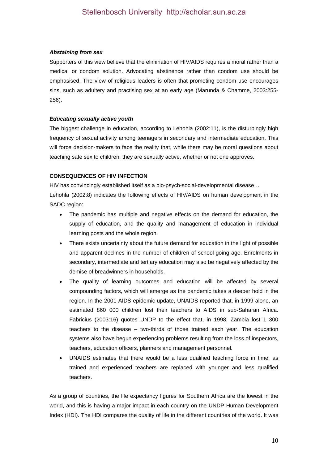#### *Abstaining from sex*

Supporters of this view believe that the elimination of HIV/AIDS requires a moral rather than a medical or condom solution. Advocating abstinence rather than condom use should be emphasised. The view of religious leaders is often that promoting condom use encourages sins, such as adultery and practising sex at an early age (Marunda & Chamme, 2003:255- 256).

### *Educating sexually active youth*

The biggest challenge in education, according to Lehohla (2002:11), is the disturbingly high frequency of sexual activity among teenagers in secondary and intermediate education. This will force decision-makers to face the reality that, while there may be moral questions about teaching safe sex to children, they are sexually active, whether or not one approves.

# **CONSEQUENCES OF HIV INFECTION**

HIV has convincingly established itself as a bio-psych-social-developmental disease… Lehohla (2002:8) indicates the following effects of HIV/AIDS on human development in the SADC region:

- The pandemic has multiple and negative effects on the demand for education, the supply of education, and the quality and management of education in individual learning posts and the whole region.
- There exists uncertainty about the future demand for education in the light of possible and apparent declines in the number of children of school-going age. Enrolments in secondary, intermediate and tertiary education may also be negatively affected by the demise of breadwinners in households.
- The quality of learning outcomes and education will be affected by several compounding factors, which will emerge as the pandemic takes a deeper hold in the region. In the 2001 AIDS epidemic update, UNAIDS reported that, in 1999 alone, an estimated 860 000 children lost their teachers to AIDS in sub-Saharan Africa. Fabricius (2003:16) quotes UNDP to the effect that, in 1998, Zambia lost 1 300 teachers to the disease – two-thirds of those trained each year. The education systems also have begun experiencing problems resulting from the loss of inspectors, teachers, education officers, planners and management personnel.
- UNAIDS estimates that there would be a less qualified teaching force in time, as trained and experienced teachers are replaced with younger and less qualified teachers.

As a group of countries, the life expectancy figures for Southern Africa are the lowest in the world, and this is having a major impact in each country on the UNDP Human Development Index (HDI). The HDI compares the quality of life in the different countries of the world. It was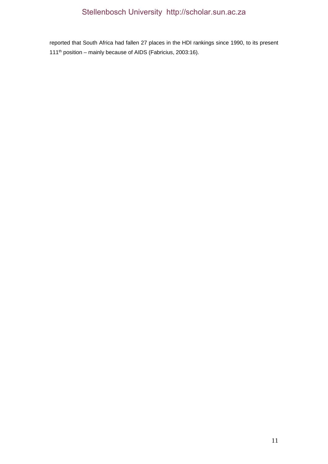reported that South Africa had fallen 27 places in the HDI rankings since 1990, to its present 111<sup>th</sup> position – mainly because of AIDS (Fabricius, 2003:16).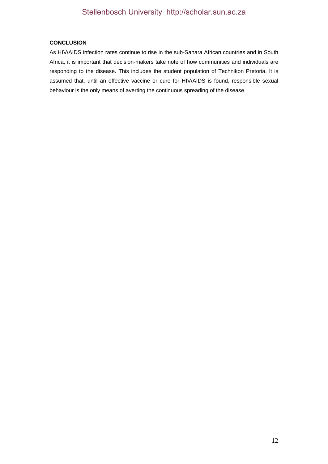# **CONCLUSION**

As HIV/AIDS infection rates continue to rise in the sub-Sahara African countries and in South Africa, it is important that decision-makers take note of how communities and individuals are responding to the disease. This includes the student population of Technikon Pretoria. It is assumed that, until an effective vaccine or cure for HIV/AIDS is found, responsible sexual behaviour is the only means of averting the continuous spreading of the disease.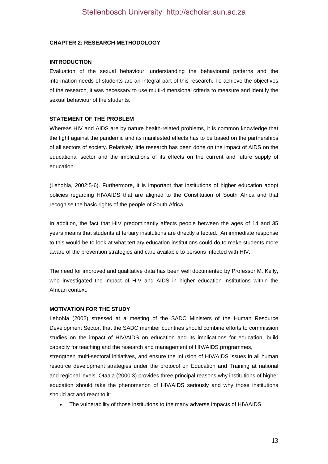#### **CHAPTER 2: RESEARCH METHODOLOGY**

#### **INTRODUCTION**

Evaluation of the sexual behaviour, understanding the behavioural patterns and the information needs of students are an integral part of this research. To achieve the objectives of the research, it was necessary to use multi-dimensional criteria to measure and identify the sexual behaviour of the students.

### **STATEMENT OF THE PROBLEM**

Whereas HIV and AIDS are by nature health-related problems, it is common knowledge that the fight against the pandemic and its manifested effects has to be based on the partnerships of all sectors of society. Relatively little research has been done on the impact of AIDS on the educational sector and the implications of its effects on the current and future supply of education

(Lehohla, 2002:5-6). Furthermore, it is important that institutions of higher education adopt policies regarding HIV/AIDS that are aligned to the Constitution of South Africa and that recognise the basic rights of the people of South Africa.

In addition, the fact that HIV predominantly affects people between the ages of 14 and 35 years means that students at tertiary institutions are directly affected. An immediate response to this would be to look at what tertiary education institutions could do to make students more aware of the prevention strategies and care available to persons infected with HIV.

The need for improved and qualitative data has been well documented by Professor M. Kelly, who investigated the impact of HIV and AIDS in higher education institutions within the African context.

#### **MOTIVATION FOR THE STUDY**

Lehohla (2002) stressed at a meeting of the SADC Ministers of the Human Resource Development Sector, that the SADC member countries should combine efforts to commission studies on the impact of HIV/AIDS on education and its implications for education, build capacity for teaching and the research and management of HIV/AIDS programmes,

strengthen multi-sectoral initiatives, and ensure the infusion of HIV/AIDS issues in all human resource development strategies under the protocol on Education and Training at national and regional levels. Otaala (2000:3) provides three principal reasons why institutions of higher education should take the phenomenon of HIV/AIDS seriously and why those institutions should act and react to it:

The vulnerability of those institutions to the many adverse impacts of HIV/AIDS.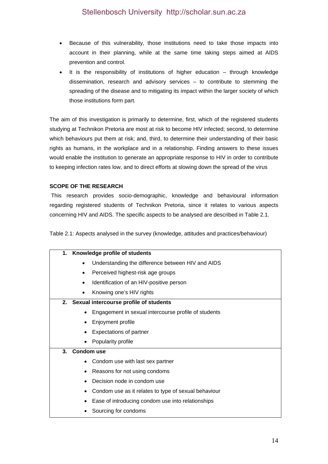- Because of this vulnerability, those institutions need to take those impacts into account in their planning, while at the same time taking steps aimed at AIDS prevention and control.
- It is the responsibility of institutions of higher education through knowledge dissemination, research and advisory services – to contribute to stemming the spreading of the disease and to mitigating its impact within the larger society of which those institutions form part.

The aim of this investigation is primarily to determine, first, which of the registered students studying at Technikon Pretoria are most at risk to become HIV infected; second, to determine which behaviours put them at risk; and, third, to determine their understanding of their basic rights as humans, in the workplace and in a relationship. Finding answers to these issues would enable the institution to generate an appropriate response to HIV in order to contribute to keeping infection rates low, and to direct efforts at slowing down the spread of the virus

# **SCOPE OF THE RESEARCH**

 This research provides socio-demographic, knowledge and behavioural information regarding registered students of Technikon Pretoria, since it relates to various aspects concerning HIV and AIDS. The specific aspects to be analysed are described in Table 2.1.

Table 2.1: Aspects analysed in the survey (knowledge, attitudes and practices/behaviour)

| 1.             |           | Knowledge profile of students                        |
|----------------|-----------|------------------------------------------------------|
|                | $\bullet$ | Understanding the difference between HIV and AIDS    |
|                | ٠         | Perceived highest-risk age groups                    |
|                |           | Identification of an HIV-positive person             |
|                |           | Knowing one's HIV rights                             |
|                |           | 2. Sexual intercourse profile of students            |
|                |           | Engagement in sexual intercourse profile of students |
|                | ٠         | Enjoyment profile                                    |
|                |           | Expectations of partner                              |
|                | ٠         | Popularity profile                                   |
| 3 <sub>1</sub> |           | <b>Condom use</b>                                    |
|                |           | Condom use with last sex partner                     |
|                | ٠         | Reasons for not using condoms                        |
|                |           | Decision node in condom use                          |
|                | ٠         | Condom use as it relates to type of sexual behaviour |
|                |           | Ease of introducing condom use into relationships    |
|                |           | Sourcing for condoms                                 |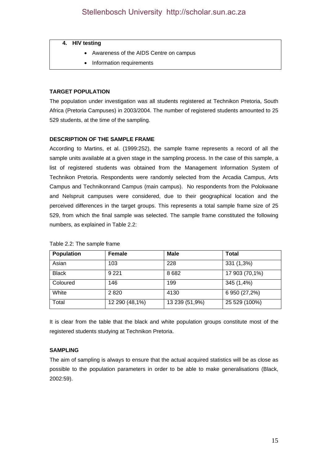#### **4. HIV testing**

- Awareness of the AIDS Centre on campus
- Information requirements

### **TARGET POPULATION**

The population under investigation was all students registered at Technikon Pretoria, South Africa (Pretoria Campuses) in 2003/2004. The number of registered students amounted to 25 529 students, at the time of the sampling.

# **DESCRIPTION OF THE SAMPLE FRAME**

According to Martins, et al. (1999:252), the sample frame represents a record of all the sample units available at a given stage in the sampling process. In the case of this sample, a list of registered students was obtained from the Management Information System of Technikon Pretoria. Respondents were randomly selected from the Arcadia Campus, Arts Campus and Technikonrand Campus (main campus). No respondents from the Polokwane and Nelspruit campuses were considered, due to their geographical location and the perceived differences in the target groups. This represents a total sample frame size of 25 529, from which the final sample was selected. The sample frame constituted the following numbers, as explained in Table 2.2:

| <b>Population</b> | <b>Female</b>  | <b>Male</b>    | <b>Total</b>   |
|-------------------|----------------|----------------|----------------|
| Asian             | 103            | 228            | 331 (1,3%)     |
| <b>Black</b>      | 9 2 2 1        | 8682           | 17 903 (70,1%) |
| Coloured          | 146            | 199            | 345 (1,4%)     |
| White             | 2820           | 4130           | 6 950 (27,2%)  |
| Total             | 12 290 (48,1%) | 13 239 (51,9%) | 25 529 (100%)  |

#### Table 2.2: The sample frame

It is clear from the table that the black and white population groups constitute most of the registered students studying at Technikon Pretoria.

### **SAMPLING**

The aim of sampling is always to ensure that the actual acquired statistics will be as close as possible to the population parameters in order to be able to make generalisations (Black, 2002:59).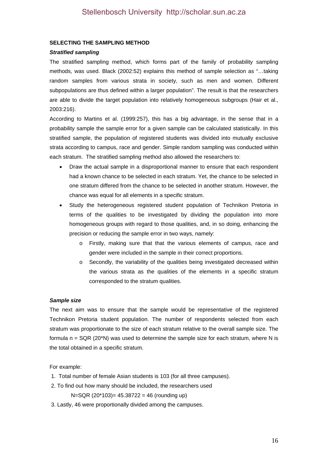#### **SELECTING THE SAMPLING METHOD**

#### *Stratified sampling*

The stratified sampling method, which forms part of the family of probability sampling methods, was used. Black (2002:52) explains this method of sample selection as "…taking random samples from various strata in society, such as men and women. Different subpopulations are thus defined within a larger population". The result is that the researchers are able to divide the target population into relatively homogeneous subgroups (Hair et al., 2003:216).

According to Martins et al. (1999:257), this has a big advantage, in the sense that in a probability sample the sample error for a given sample can be calculated statistically. In this stratified sample, the population of registered students was divided into mutually exclusive strata according to campus, race and gender. Simple random sampling was conducted within each stratum. The stratified sampling method also allowed the researchers to:

- Draw the actual sample in a disproportional manner to ensure that each respondent had a known chance to be selected in each stratum. Yet, the chance to be selected in one stratum differed from the chance to be selected in another stratum. However, the chance was equal for all elements in a specific stratum.
- Study the heterogeneous registered student population of Technikon Pretoria in terms of the qualities to be investigated by dividing the population into more homogeneous groups with regard to those qualities, and, in so doing, enhancing the precision or reducing the sample error in two ways, namely:
	- o Firstly, making sure that that the various elements of campus, race and gender were included in the sample in their correct proportions.
	- o Secondly, the variability of the qualities being investigated decreased within the various strata as the qualities of the elements in a specific stratum corresponded to the stratum qualities.

#### *Sample size*

The next aim was to ensure that the sample would be representative of the registered Technikon Pretoria student population. The number of respondents selected from each stratum was proportionate to the size of each stratum relative to the overall sample size. The formula  $n = SQR (20<sup>*</sup>N)$  was used to determine the sample size for each stratum, where N is the total obtained in a specific stratum.

For example:

- 1. Total number of female Asian students is 103 (for all three campuses).
- 2. To find out how many should be included, the researchers used
	- $N = SQR (20*103) = 45.38722 = 46$  (rounding up)
- 3. Lastly, 46 were proportionally divided among the campuses.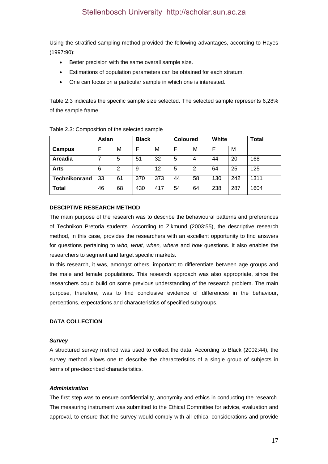Using the stratified sampling method provided the following advantages, according to Hayes (1997:90):

- Better precision with the same overall sample size.
- Estimations of population parameters can be obtained for each stratum.
- One can focus on a particular sample in which one is interested.

Table 2.3 indicates the specific sample size selected. The selected sample represents 6,28% of the sample frame.

|                      | Asian |    |     | <b>Black</b> |    | <b>Coloured</b> |     |     | <b>Total</b> |
|----------------------|-------|----|-----|--------------|----|-----------------|-----|-----|--------------|
| Campus               |       | М  |     | M            | F  | М               |     | Μ   |              |
| Arcadia              |       | 5  | 51  | 32           | 5  | 4               | 44  | 20  | 168          |
| <b>Arts</b>          | 6     | 2  | 9   | 12           | 5  | 2               | 64  | 25  | 125          |
| <b>Technikonrand</b> | 33    | 61 | 370 | 373          | 44 | 58              | 130 | 242 | 1311         |
| <b>Total</b>         | 46    | 68 | 430 | 417          | 54 | 64              | 238 | 287 | 1604         |

Table 2.3: Composition of the selected sample

### **DESCIPTIVE RESEARCH METHOD**

The main purpose of the research was to describe the behavioural patterns and preferences of Technikon Pretoria students. According to Zikmund (2003:55), the descriptive research method, in this case, provides the researchers with an excellent opportunity to find answers for questions pertaining to *who, what, when, where* and *how* questions. It also enables the researchers to segment and target specific markets.

In this research, it was, amongst others, important to differentiate between age groups and the male and female populations. This research approach was also appropriate, since the researchers could build on some previous understanding of the research problem. The main purpose, therefore, was to find conclusive evidence of differences in the behaviour, perceptions, expectations and characteristics of specified subgroups.

### **DATA COLLECTION**

### *Survey*

A structured survey method was used to collect the data. According to Black (2002:44), the survey method allows one to describe the characteristics of a single group of subjects in terms of pre-described characteristics.

### *Administration*

The first step was to ensure confidentiality, anonymity and ethics in conducting the research. The measuring instrument was submitted to the Ethical Committee for advice, evaluation and approval, to ensure that the survey would comply with all ethical considerations and provide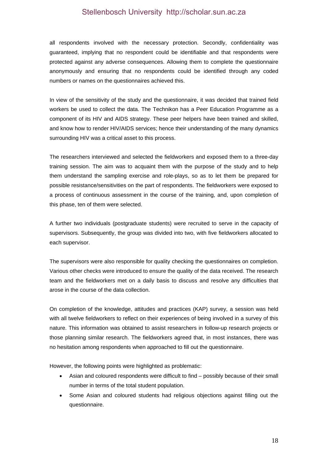all respondents involved with the necessary protection. Secondly, confidentiality was guaranteed, implying that no respondent could be identifiable and that respondents were protected against any adverse consequences. Allowing them to complete the questionnaire anonymously and ensuring that no respondents could be identified through any coded numbers or names on the questionnaires achieved this.

In view of the sensitivity of the study and the questionnaire, it was decided that trained field workers be used to collect the data. The Technikon has a Peer Education Programme as a component of its HIV and AIDS strategy. These peer helpers have been trained and skilled, and know how to render HIV/AIDS services; hence their understanding of the many dynamics surrounding HIV was a critical asset to this process.

The researchers interviewed and selected the fieldworkers and exposed them to a three-day training session. The aim was to acquaint them with the purpose of the study and to help them understand the sampling exercise and role-plays, so as to let them be prepared for possible resistance/sensitivities on the part of respondents. The fieldworkers were exposed to a process of continuous assessment in the course of the training, and, upon completion of this phase, ten of them were selected.

A further two individuals (postgraduate students) were recruited to serve in the capacity of supervisors. Subsequently, the group was divided into two, with five fieldworkers allocated to each supervisor.

The supervisors were also responsible for quality checking the questionnaires on completion. Various other checks were introduced to ensure the quality of the data received. The research team and the fieldworkers met on a daily basis to discuss and resolve any difficulties that arose in the course of the data collection.

On completion of the knowledge, attitudes and practices (KAP) survey, a session was held with all twelve fieldworkers to reflect on their experiences of being involved in a survey of this nature. This information was obtained to assist researchers in follow-up research projects or those planning similar research. The fieldworkers agreed that, in most instances, there was no hesitation among respondents when approached to fill out the questionnaire.

However, the following points were highlighted as problematic:

- Asian and coloured respondents were difficult to find possibly because of their small number in terms of the total student population.
- Some Asian and coloured students had religious objections against filling out the questionnaire.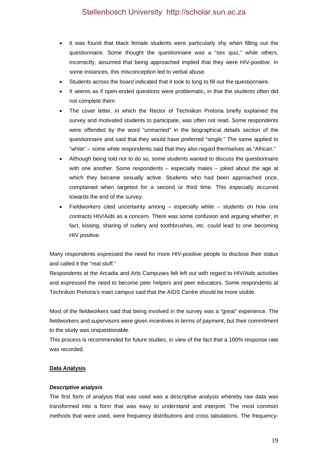- It was found that black female students were particularly shy when filling out the questionnaire. Some thought the questionnaire was a "sex quiz," while others, incorrectly, assumed that being approached implied that they were HIV-positive. In some instances, this misconception led to verbal abuse.
- Students across the board indicated that it took to long to fill out the questionnaire.
- It seems as if open-ended questions were problematic, in that the students often did not complete them.
- The cover letter, in which the Rector of Technikon Pretoria briefly explained the survey and motivated students to participate, was often not read. Some respondents were offended by the word "unmarried" in the biographical details section of the questionnaire and said that they would have preferred "single." The same applied to "white" – some white respondents said that they also regard themselves as "African."
- Although being told not to do so, some students wanted to discuss the questionnaire with one another. Some respondents – especially males – joked about the age at which they became sexually active. Students who had been approached once, complained when targeted for a second or third time. This especially occurred towards the end of the survey.
- Fieldworkers cited uncertainty among especially white students on how one contracts HIV/Aids as a concern. There was some confusion and arguing whether, in fact, kissing, sharing of cutlery and toothbrushes, etc. could lead to one becoming HIV positive.

Many respondents expressed the need for more HIV-positive people to disclose their status and called it the "real stuff."

Respondents at the Arcadia and Arts Campuses felt left out with regard to HIV/Aids activities and expressed the need to become peer helpers and peer educators. Some respondents at Technikon Pretoria's main campus said that the AIDS Centre should be more visible.

Most of the fieldworkers said that being involved in the survey was a "great" experience. The fieldworkers and supervisors were given incentives in terms of payment, but their commitment to the study was unquestionable.

This process is recommended for future studies, in view of the fact that a 100% response rate was recorded.

### **Data Analysis**

### *Descriptive analysis*

The first form of analysis that was used was a descriptive analysis whereby raw data was transformed into a form that was easy to understand and interpret. The most common methods that were used, were frequency distributions and cross tabulations. The frequency-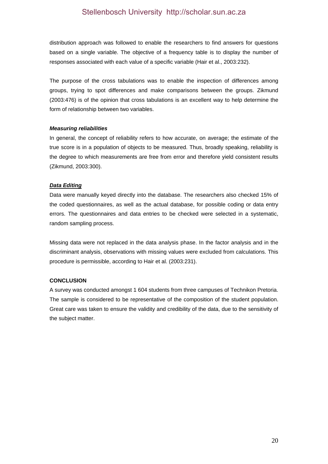distribution approach was followed to enable the researchers to find answers for questions based on a single variable. The objective of a frequency table is to display the number of responses associated with each value of a specific variable (Hair et al., 2003:232).

The purpose of the cross tabulations was to enable the inspection of differences among groups, trying to spot differences and make comparisons between the groups. Zikmund (2003:476) is of the opinion that cross tabulations is an excellent way to help determine the form of relationship between two variables.

#### *Measuring reliabilities*

In general, the concept of reliability refers to how accurate, on average; the estimate of the true score is in a population of objects to be measured. Thus, broadly speaking, reliability is the degree to which measurements are free from error and therefore yield consistent results (Zikmund, 2003:300).

### *Data Editing*

Data were manually keyed directly into the database. The researchers also checked 15% of the coded questionnaires, as well as the actual database, for possible coding or data entry errors. The questionnaires and data entries to be checked were selected in a systematic, random sampling process.

Missing data were not replaced in the data analysis phase. In the factor analysis and in the discriminant analysis, observations with missing values were excluded from calculations. This procedure is permissible, according to Hair et al. (2003:231).

### **CONCLUSION**

A survey was conducted amongst 1 604 students from three campuses of Technikon Pretoria. The sample is considered to be representative of the composition of the student population. Great care was taken to ensure the validity and credibility of the data, due to the sensitivity of the subject matter.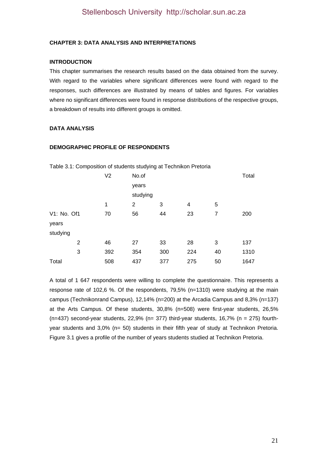#### **CHAPTER 3: DATA ANALYSIS AND INTERPRETATIONS**

#### **INTRODUCTION**

This chapter summarises the research results based on the data obtained from the survey. With regard to the variables where significant differences were found with regard to the responses, such differences are illustrated by means of tables and figures. For variables where no significant differences were found in response distributions of the respective groups, a breakdown of results into different groups is omitted.

#### **DATA ANALYSIS**

#### **DEMOGRAPHIC PROFILE OF RESPONDENTS**

|                | V <sub>2</sub> | No.of    |     |     |    | Total |
|----------------|----------------|----------|-----|-----|----|-------|
|                |                | years    |     |     |    |       |
|                |                | studying |     |     |    |       |
|                | 1              | 2        | 3   | 4   | 5  |       |
| V1: No. Of1    | 70             | 56       | 44  | 23  | 7  | 200   |
| years          |                |          |     |     |    |       |
| studying       |                |          |     |     |    |       |
| $\overline{2}$ | 46             | 27       | 33  | 28  | 3  | 137   |
| 3              | 392            | 354      | 300 | 224 | 40 | 1310  |
| Total          | 508            | 437      | 377 | 275 | 50 | 1647  |

Table 3.1: Composition of students studying at Technikon Pretoria

A total of 1 647 respondents were willing to complete the questionnaire. This represents a response rate of 102,6 %. Of the respondents, 79,5% (n=1310) were studying at the main campus (Technikonrand Campus), 12,14% (n=200) at the Arcadia Campus and 8,3% (n=137) at the Arts Campus. Of these students, 30,8% (n=508) were first-year students, 26,5% (n=437) second-year students,  $22,9\%$  (n= 377) third-year students,  $16,7\%$  (n = 275) fourthyear students and 3,0% (n= 50) students in their fifth year of study at Technikon Pretoria. Figure 3.1 gives a profile of the number of years students studied at Technikon Pretoria.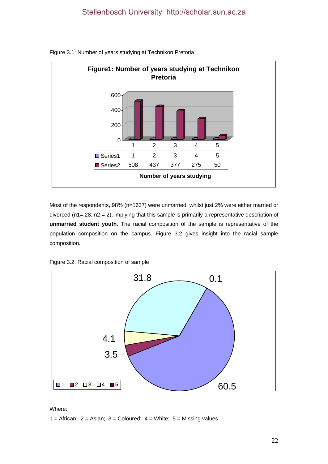

Figure 3.1: Number of years studying at Technikon Pretoria

Most of the respondents, 98% (n=1637) were unmarried, whilst just 2% were either married or divorced ( $n1 = 28$ ;  $n2 = 2$ ), implying that this sample is primarily a representative description of **unmarried student youth**. The racial composition of the sample is representative of the population composition on the campus. Figure 3.2 gives insight into the racial sample composition.





Where:

1 = African;  $2 =$  Asian;  $3 =$  Coloured;  $4 =$  White;  $5 =$  Missing values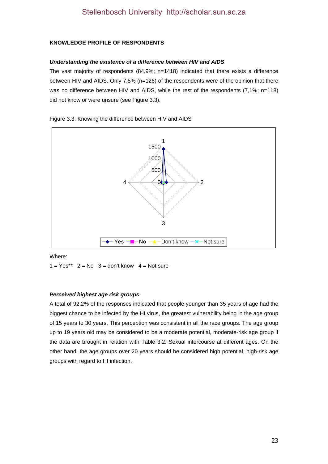# **KNOWLEDGE PROFILE OF RESPONDENTS**

#### *Understanding the existence of a difference between HIV and AIDS*

The vast majority of respondents  $(84.9\%; n=1418)$  indicated that there exists a difference between HIV and AIDS. Only 7,5% (n=126) of the respondents were of the opinion that there was no difference between HIV and AIDS, while the rest of the respondents (7,1%; n=118) did not know or were unsure (see Figure 3.3).

#### Figure 3.3: Knowing the difference between HIV and AIDS



Where:

 $1 = Yes^{**}$   $2 = No$   $3 = don't know$   $4 = Not sure$ 

### *Perceived highest age risk groups*

A total of 92,2% of the responses indicated that people younger than 35 years of age had the biggest chance to be infected by the HI virus, the greatest vulnerability being in the age group of 15 years to 30 years. This perception was consistent in all the race groups. The age group up to 19 years old may be considered to be a moderate potential, moderate-risk age group if the data are brought in relation with Table 3.2: Sexual intercourse at different ages. On the other hand, the age groups over 20 years should be considered high potential, high-risk age groups with regard to HI infection.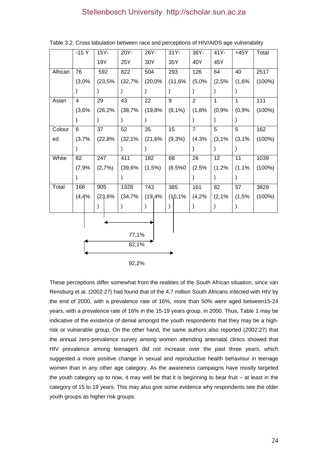|         | $-15Y$         |  | 15Y- |         | 20Y-    | 26Y-      |         |               | $31Y -$   | 36Y-           | 41Y-         | $+45Y$       | Total     |
|---------|----------------|--|------|---------|---------|-----------|---------|---------------|-----------|----------------|--------------|--------------|-----------|
|         |                |  | 19Y  |         | 25Y     | 30Y       |         |               | 35Y       | 40Y            | 45Y          |              |           |
| African | 76             |  | 592  |         | 822     | 504       |         |               | 293       | 126            | 64           | 40           | 2517      |
|         | (3,0%          |  |      | (23,5%  | (32,7%  |           | (20,0%  |               | (11,6%    | (5,0%          | (2,5%        | (1,6%        | (100%)    |
|         |                |  |      |         |         |           |         |               |           |                |              |              |           |
| Asian   | $\overline{4}$ |  | 29   |         | 43      | 22        |         | 9             |           | $\overline{2}$ | $\mathbf{1}$ | $\mathbf{1}$ | 111       |
|         | (3,6%          |  |      | (26, 2% | (38,7%  |           | (19,8%  |               | $(8,1\%)$ | (1,8%          | (0,9%        | (0,9%        | (100%)    |
|         |                |  |      |         |         |           |         |               |           |                |              |              |           |
| Colour  | 6              |  | 37   |         | 52      | 35        |         | 15            |           | $\overline{7}$ | 5            | 5            | 162       |
| ed      | (3,7%          |  |      | (22,8%  | (32, 1% |           | (21,6%  |               | (9,3%)    | (4,3%          | (3,1%        | (3,1%        | (100%)    |
|         |                |  |      |         |         |           |         |               |           |                |              |              |           |
| White   | 82             |  | 247  |         | 411     | 182       |         | 68            |           | 26             | 12           | 11           | 1039      |
|         | (7,9%          |  |      | (2,7%)  | (39,6%  |           | (1,5%)  |               | (6.5%0)   | (2.5%          | (1.2%        | (1.1%        | $(100\%)$ |
|         |                |  |      |         |         |           |         |               |           |                |              |              |           |
| Total   | 168            |  | 905  |         | 1328    | 743       |         |               | 385       | 161            | 82           | 57           | 3829      |
|         | (4, 4%         |  |      | (23,6%  | (34,7%  |           | (19, 4% |               | (1,0,1%   | (4,2%          | (2,1%        | (1,5%        | (100%)    |
|         |                |  |      |         |         | $\lambda$ |         | $\mathcal{E}$ |           |                |              |              |           |
|         |                |  |      |         |         |           |         |               |           |                |              |              |           |
|         |                |  |      |         |         |           |         |               |           |                |              |              |           |
|         |                |  |      |         | 77,1%   |           |         |               |           |                |              |              |           |
|         |                |  |      |         | 82,1%   |           |         |               |           |                |              |              |           |
|         |                |  |      |         |         |           |         |               |           |                |              |              |           |
|         | 92,2%          |  |      |         |         |           |         |               |           |                |              |              |           |

Table 3.2: Cross tabulation between race and perceptions of HIV/AIDS age vulnerability

These perceptions differ somewhat from the realities of the South African situation, since van Rensburg et al. (2002:27) had found that of the 4,7 million South Africans infected with HIV by the end of 2000, with a prevalence rate of 16%, more than 50% were aged between15-24 years, with a prevalence rate of 16% in the 15-19 years group, in 2000. Thus, Table 1 may be indicative of the existence of denial amongst the youth respondents that they may be a highrisk or vulnerable group. On the other hand, the same authors also reported (2002:27) that the annual zero-prevalence survey among women attending antenatal clinics showed that HIV prevalence among teenagers did not increase over the past three years, which suggested a more positive change in sexual and reproductive health behaviour in teenage women than in any other age category. As the awareness campaigns have mostly targeted the youth category up to now, it may well be that it is beginning to bear fruit – at least in the category of 15 to 19 years. This may also give some evidence why respondents see the older youth groups as higher risk groups.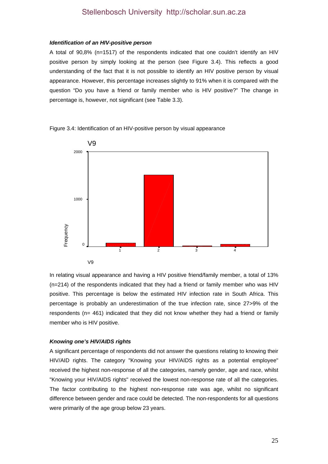#### *Identification of an HIV-positive person*

A total of 90,8% (n=1517) of the respondents indicated that one couldn't identify an HIV positive person by simply looking at the person (see Figure 3.4). This reflects a good understanding of the fact that it is not possible to identify an HIV positive person by visual appearance. However, this percentage increases slightly to 91% when it is compared with the question "Do you have a friend or family member who is HIV positive?" The change in percentage is, however, not significant (see Table 3.3).

V9 V9 1 2 3 4 Frequency 2000 1000  $\overline{0}$ 

Figure 3.4: Identification of an HIV-positive person by visual appearance

In relating visual appearance and having a HIV positive friend/family member, a total of 13% (n=214) of the respondents indicated that they had a friend or family member who was HIV positive. This percentage is below the estimated HIV infection rate in South Africa. This percentage is probably an underestimation of the true infection rate, since 27>9% of the respondents ( $n= 461$ ) indicated that they did not know whether they had a friend or family member who is HIV positive.

#### *Knowing one's HIV/AIDS rights*

A significant percentage of respondents did not answer the questions relating to knowing their HIV/AID rights. The category "Knowing your HIV/AIDS rights as a potential employee" received the highest non-response of all the categories, namely gender, age and race, whilst "Knowing your HIV/AIDS rights" received the lowest non-response rate of all the categories. The factor contributing to the highest non-response rate was age, whilst no significant difference between gender and race could be detected. The non-respondents for all questions were primarily of the age group below 23 years.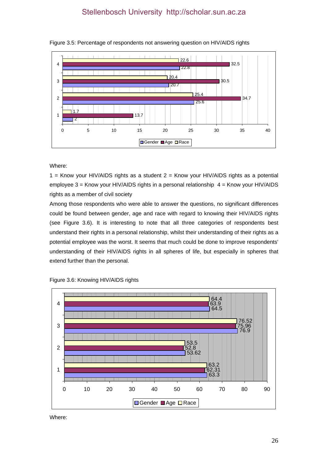



Where:

1 = Know your HIV/AIDS rights as a student  $2$  = Know your HIV/AIDS rights as a potential employee 3 = Know your HIV/AIDS rights in a personal relationship 4 = Know your HIV/AIDS rights as a member of civil society

Among those respondents who were able to answer the questions, no significant differences could be found between gender, age and race with regard to knowing their HIV/AIDS rights (see Figure 3.6). It is interesting to note that all three categories of respondents best understand their rights in a personal relationship, whilst their understanding of their rights as a potential employee was the worst. It seems that much could be done to improve respondents' understanding of their HIV/AIDS rights in all spheres of life, but especially in spheres that extend further than the personal.



Figure 3.6: Knowing HIV/AIDS rights

Where: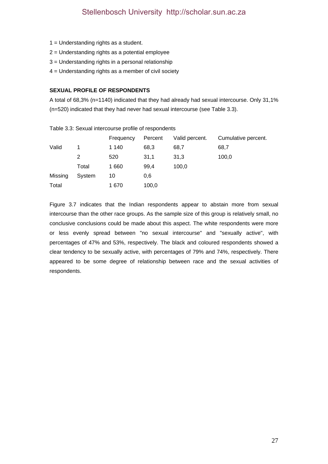- 1 = Understanding rights as a student.
- 2 = Understanding rights as a potential employee
- 3 = Understanding rights in a personal relationship
- 4 = Understanding rights as a member of civil society

#### **SEXUAL PROFILE OF RESPONDENTS**

A total of 68,3% (n=1140) indicated that they had already had sexual intercourse. Only 31,1% (n=520) indicated that they had never had sexual intercourse (see Table 3.3).

|         |        | Frequency | Percent | Valid percent. | Cumulative percent. |
|---------|--------|-----------|---------|----------------|---------------------|
| Valid   | 1      | 1 140     | 68,3    | 68,7           | 68,7                |
|         | 2      | 520       | 31,1    | 31,3           | 100,0               |
|         | Total  | 1660      | 99,4    | 100.0          |                     |
| Missing | System | 10        | 0,6     |                |                     |
| Total   |        | 1670      | 100,0   |                |                     |

Table 3.3: Sexual intercourse profile of respondents

Figure 3.7 indicates that the Indian respondents appear to abstain more from sexual intercourse than the other race groups. As the sample size of this group is relatively small, no conclusive conclusions could be made about this aspect. The white respondents were more or less evenly spread between "no sexual intercourse" and "sexually active", with percentages of 47% and 53%, respectively. The black and coloured respondents showed a clear tendency to be sexually active, with percentages of 79% and 74%, respectively. There appeared to be some degree of relationship between race and the sexual activities of respondents.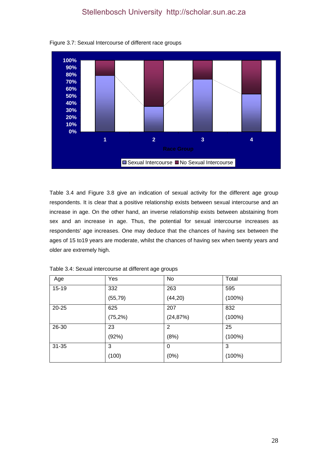

Figure 3.7: Sexual Intercourse of different race groups

Table 3.4 and Figure 3.8 give an indication of sexual activity for the different age group respondents. It is clear that a positive relationship exists between sexual intercourse and an increase in age. On the other hand, an inverse relationship exists between abstaining from sex and an increase in age. Thus, the potential for sexual intercourse increases as respondents' age increases. One may deduce that the chances of having sex between the ages of 15 to19 years are moderate, whilst the chances of having sex when twenty years and older are extremely high.

| Age       | Yes         | No        | Total     |
|-----------|-------------|-----------|-----------|
| $15 - 19$ | 332         | 263       | 595       |
|           | (55, 79)    | (44, 20)  | $(100\%)$ |
| $20 - 25$ | 625         | 207       | 832       |
|           | $(75, 2\%)$ | (24, 87%) | $(100\%)$ |
| 26-30     | 23          | 2         | 25        |
|           | (92%)       | (8%)      | $(100\%)$ |
| $31 - 35$ | 3           | 0         | 3         |
|           | (100)       | (0%)      | $(100\%)$ |

Table 3.4: Sexual intercourse at different age groups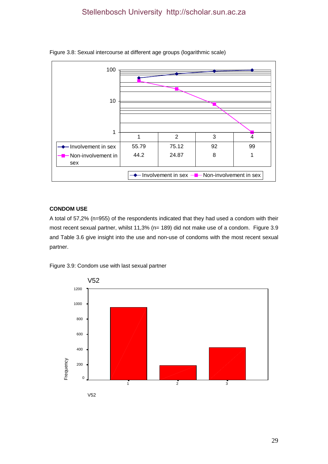

#### Figure 3.8: Sexual intercourse at different age groups (logarithmic scale)

# **CONDOM USE**

A total of 57,2% (n=955) of the respondents indicated that they had used a condom with their most recent sexual partner, whilst 11,3% (n= 189) did not make use of a condom. Figure 3.9 and Table 3.6 give insight into the use and non-use of condoms with the most recent sexual partner.



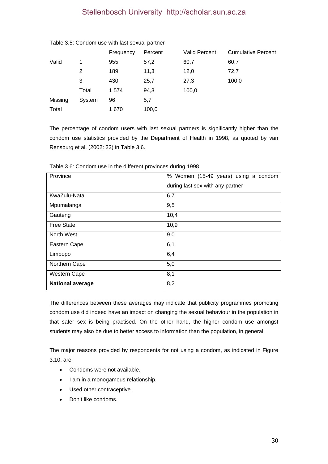|        | Frequency | Percent | <b>Valid Percent</b> | <b>Cumulative Percent</b> |
|--------|-----------|---------|----------------------|---------------------------|
| 1      | 955       | 57,2    | 60,7                 | 60,7                      |
| 2      | 189       | 11,3    | 12,0                 | 72,7                      |
| 3      | 430       | 25,7    | 27,3                 | 100,0                     |
| Total  | 1 574     | 94,3    | 100,0                |                           |
| System | 96        | 5,7     |                      |                           |
|        | 1670      | 100,0   |                      |                           |
|        |           |         |                      |                           |

Table 3.5: Condom use with last sexual partner

The percentage of condom users with last sexual partners is significantly higher than the condom use statistics provided by the Department of Health in 1998, as quoted by van Rensburg et al. (2002: 23) in Table 3.6.

| Province                | % Women (15-49 years) using a condom |  |  |
|-------------------------|--------------------------------------|--|--|
|                         | during last sex with any partner     |  |  |
| KwaZulu-Natal           | 6,7                                  |  |  |
| Mpumalanga              | 9,5                                  |  |  |
| Gauteng                 | 10,4                                 |  |  |
| <b>Free State</b>       | 10,9                                 |  |  |
| North West              | 9,0                                  |  |  |
| Eastern Cape            | 6,1                                  |  |  |
| Limpopo                 | 6,4                                  |  |  |
| Northern Cape           | 5,0                                  |  |  |
| <b>Western Cape</b>     | 8,1                                  |  |  |
| <b>National average</b> | 8,2                                  |  |  |

Table 3.6: Condom use in the different provinces during 1998

The differences between these averages may indicate that publicity programmes promoting condom use did indeed have an impact on changing the sexual behaviour in the population in that safer sex is being practised. On the other hand, the higher condom use amongst students may also be due to better access to information than the population, in general.

The major reasons provided by respondents for not using a condom, as indicated in Figure 3.10, are:

- Condoms were not available.
- I am in a monogamous relationship.
- Used other contraceptive.
- Don't like condoms.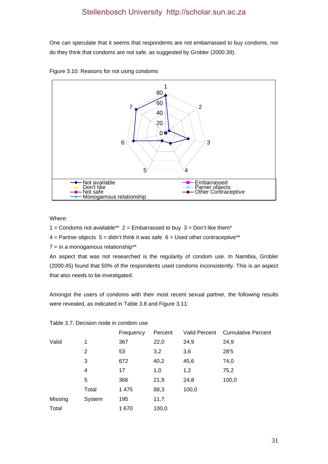One can speculate that it seems that respondents are not embarrassed to buy condoms, nor do they think that condoms are not safe, as suggested by Grobler (2000:39).





Where:

1 = Condoms not available\*\*  $2 =$  Embarrassed to buy  $3 =$  Don't like them\*

 $4$  = Partner objects  $5$  = didn't think it was safe  $6$  = Used other contraceptive\*\*

 $7 = in a monogamous relationship**$ 

An aspect that was not researched is the regularity of condom use. In Namibia, Grobler (2000:45) found that 50% of the respondents used condoms inconsistently. This is an aspect that also needs to be investigated.

Amongst the users of condoms with their most recent sexual partner, the following results were revealed, as indicated in Table 3.8 and Figure 3.11:

|         |        | Frequency | Percent | <b>Valid Percent</b> | <b>Cumulative Percent</b> |
|---------|--------|-----------|---------|----------------------|---------------------------|
| Valid   | 1      | 367       | 22,0    | 24,9                 | 24,9                      |
|         | 2      | 53        | 3,2     | 3,6                  | 28'5                      |
|         | 3      | 672       | 40,2    | 45,6                 | 74,0                      |
|         | 4      | 17        | 1,0     | 1,2                  | 75,2                      |
|         | 5      | 366       | 21,9    | 24,8                 | 100,0                     |
|         | Total  | 1 4 7 5   | 88,3    | 100,0                |                           |
| Missing | System | 195       | 11,7    |                      |                           |
| Total   |        | 1670      | 100,0   |                      |                           |

### Table 3.7: Decision node in condom use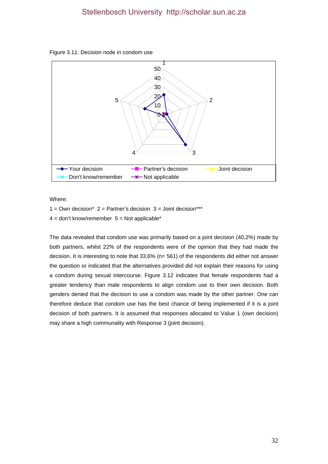



Where:

 $1 = Own decision^*$  2 = Partner's decision  $3 = Joint decision^{***}$  $4 =$  don't know/remember  $5 =$  Not applicable\*

The data revealed that condom use was primarily based on a joint decision (40,2%) made by both partners, whilst 22% of the respondents were of the opinion that they had made the decision. It is interesting to note that 33,6% (n= 561) of the respondents did either not answer the question or indicated that the alternatives provided did not explain their reasons for using a condom during sexual intercourse. Figure 3.12 indicates that female respondents had a greater tendency than male respondents to align condom use to their own decision. Both genders denied that the decision to use a condom was made by the other partner. One can therefore deduce that condom use has the best chance of being implemented if it is a joint decision of both partners. It is assumed that responses allocated to Value 1 (own decision) may share a high communality with Response 3 (joint decision).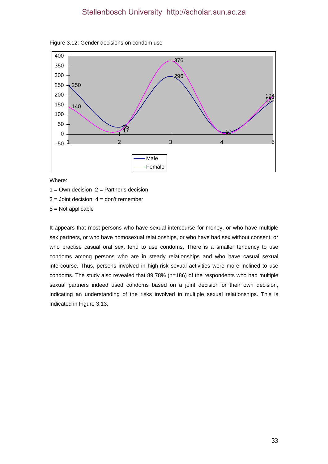



Where:

 $1 =$  Own decision  $2 =$  Partner's decision

 $3 =$  Joint decision  $4 =$  don't remember

5 = Not applicable

It appears that most persons who have sexual intercourse for money, or who have multiple sex partners, or who have homosexual relationships, or who have had sex without consent, or who practise casual oral sex, tend to use condoms. There is a smaller tendency to use condoms among persons who are in steady relationships and who have casual sexual intercourse. Thus, persons involved in high-risk sexual activities were more inclined to use condoms. The study also revealed that 89,78% (n=186) of the respondents who had multiple sexual partners indeed used condoms based on a joint decision or their own decision, indicating an understanding of the risks involved in multiple sexual relationships. This is indicated in Figure 3.13.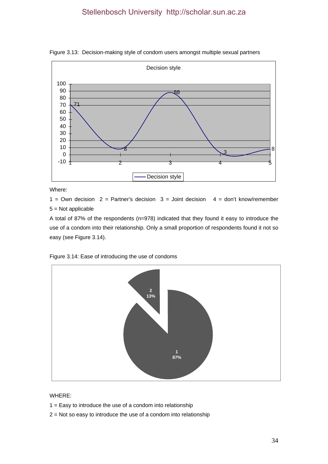

Figure 3.13: Decision-making style of condom users amongst multiple sexual partners

Where:

1 = Own decision  $2$  = Partner's decision  $3$  = Joint decision  $4$  = don't know/remember 5 = Not applicable

A total of 87% of the respondents (n=978) indicated that they found it easy to introduce the use of a condom into their relationship. Only a small proportion of respondents found it not so easy (see Figure 3.14).



Figure 3.14: Ease of introducing the use of condoms

WHERE:

- $1 =$  Easy to introduce the use of a condom into relationship
- 2 = Not so easy to introduce the use of a condom into relationship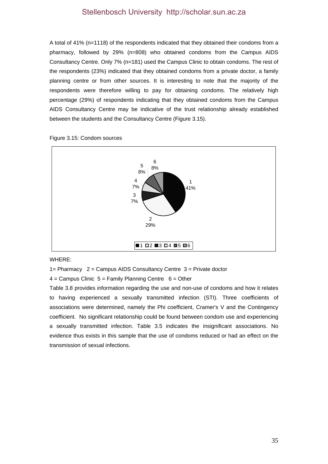A total of 41% (n=1118) of the respondents indicated that they obtained their condoms from a pharmacy, followed by 29% (n=808) who obtained condoms from the Campus AIDS Consultancy Centre. Only 7% (n=181) used the Campus Clinic to obtain condoms. The rest of the respondents (23%) indicated that they obtained condoms from a private doctor, a family planning centre or from other sources. It is interesting to note that the majority of the respondents were therefore willing to pay for obtaining condoms. The relatively high percentage (29%) of respondents indicating that they obtained condoms from the Campus AIDS Consultancy Centre may be indicative of the trust relationship already established between the students and the Consultancy Centre (Figure 3.15).



Figure 3.15: Condom sources

#### WHERE:

1= Pharmacy 2 = Campus AIDS Consultancy Centre 3 = Private doctor

 $4 =$  Campus Clinic  $5 =$  Family Planning Centre  $6 =$  Other

Table 3.8 provides information regarding the use and non-use of condoms and how it relates to having experienced a sexually transmitted infection (STI). Three coefficients of associations were determined, namely the Phi coefficient, Cramer's V and the Contingency coefficient. No significant relationship could be found between condom use and experiencing a sexually transmitted infection. Table 3.5 indicates the insignificant associations. No evidence thus exists in this sample that the use of condoms reduced or had an effect on the transmission of sexual infections.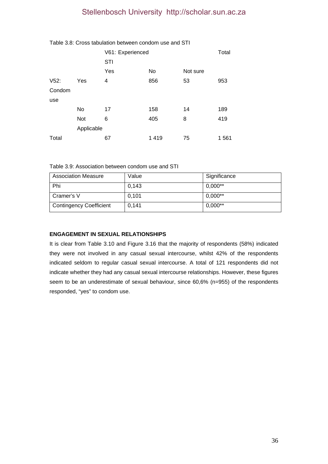|        |            | V61: Experienced<br><b>STI</b> |      |          | Total |
|--------|------------|--------------------------------|------|----------|-------|
|        |            | Yes                            | No   | Not sure |       |
| V52:   | Yes        | 4                              | 856  | 53       | 953   |
| Condom |            |                                |      |          |       |
| use    |            |                                |      |          |       |
|        | No         | 17                             | 158  | 14       | 189   |
|        | <b>Not</b> | 6                              | 405  | 8        | 419   |
|        | Applicable |                                |      |          |       |
| Total  |            | 67                             | 1419 | 75       | 1 561 |

### Table 3.8: Cross tabulation between condom use and STI

Table 3.9: Association between condom use and STI

| <b>Association Measure</b>     | Value | Significance |
|--------------------------------|-------|--------------|
| Phi                            | 0.143 | $0,000**$    |
| Cramer's V                     | 0,101 | $0,000**$    |
| <b>Contingency Coefficient</b> | 0.141 | $0,000**$    |

# **ENGAGEMENT IN SEXUAL RELATIONSHIPS**

It is clear from Table 3.10 and Figure 3.16 that the majority of respondents (58%) indicated they were not involved in any casual sexual intercourse, whilst 42% of the respondents indicated seldom to regular casual sexual intercourse. A total of 121 respondents did not indicate whether they had any casual sexual intercourse relationships. However, these figures seem to be an underestimate of sexual behaviour, since 60,6% (n=955) of the respondents responded, "yes" to condom use.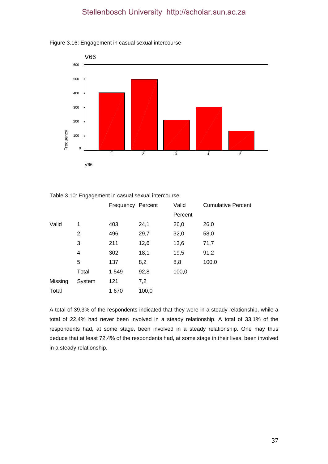



Table 3.10: Engagement in casual sexual intercourse

|         |                | Frequency Percent |       | Valid   | <b>Cumulative Percent</b> |
|---------|----------------|-------------------|-------|---------|---------------------------|
|         |                |                   |       | Percent |                           |
| Valid   | 1              | 403               | 24,1  | 26,0    | 26,0                      |
|         | $\overline{2}$ | 496               | 29,7  | 32,0    | 58,0                      |
|         | 3              | 211               | 12,6  | 13,6    | 71,7                      |
|         | 4              | 302               | 18,1  | 19,5    | 91,2                      |
|         | 5              | 137               | 8,2   | 8,8     | 100,0                     |
|         | Total          | 1 5 4 9           | 92,8  | 100,0   |                           |
| Missing | System         | 121               | 7,2   |         |                           |
| Total   |                | 1670              | 100,0 |         |                           |

A total of 39,3% of the respondents indicated that they were in a steady relationship, while a total of 22,4% had never been involved in a steady relationship. A total of 33,1% of the respondents had, at some stage, been involved in a steady relationship. One may thus deduce that at least 72,4% of the respondents had, at some stage in their lives, been involved in a steady relationship.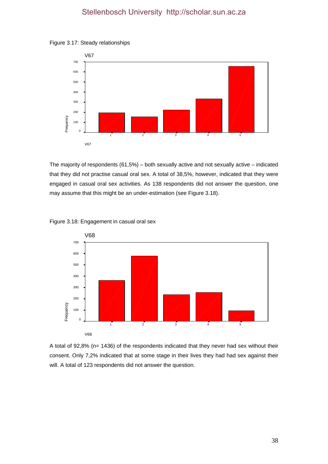



The majority of respondents (61,5%) – both sexually active and not sexually active – indicated that they did not practise casual oral sex. A total of 38,5%, however, indicated that they were engaged in casual oral sex activities. As 138 respondents did not answer the question, one may assume that this might be an under-estimation (see Figure 3.18).





A total of 92,8% (n= 1436) of the respondents indicated that they never had sex without their consent. Only 7,2% indicated that at some stage in their lives they had had sex against their will. A total of 123 respondents did not answer the question.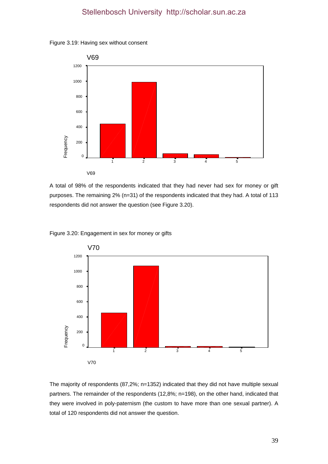



A total of 98% of the respondents indicated that they had never had sex for money or gift purposes. The remaining 2% (n=31) of the respondents indicated that they had. A total of 113 respondents did not answer the question (see Figure 3.20).



Figure 3.20: Engagement in sex for money or gifts

The majority of respondents (87,2%; n=1352) indicated that they did not have multiple sexual partners. The remainder of the respondents (12,8%; n=198), on the other hand, indicated that they were involved in poly-paternism (the custom to have more than one sexual partner). A total of 120 respondents did not answer the question.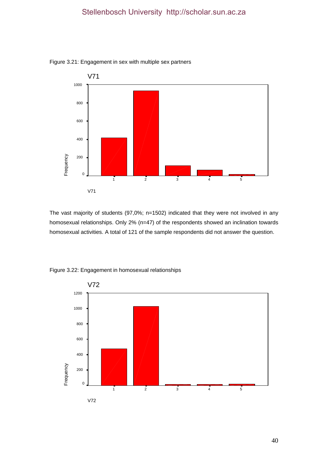

Figure 3.21: Engagement in sex with multiple sex partners

The vast majority of students (97,0%; n=1502) indicated that they were not involved in any homosexual relationships. Only 2% (n=47) of the respondents showed an inclination towards homosexual activities. A total of 121 of the sample respondents did not answer the question.



Figure 3.22: Engagement in homosexual relationships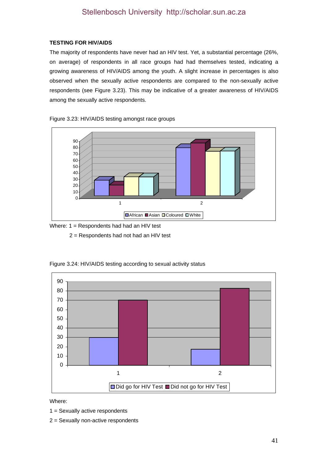# **TESTING FOR HIV/AIDS**

The majority of respondents have never had an HIV test. Yet, a substantial percentage (26%, on average) of respondents in all race groups had had themselves tested, indicating a growing awareness of HIV/AIDS among the youth. A slight increase in percentages is also observed when the sexually active respondents are compared to the non-sexually active respondents (see Figure 3.23). This may be indicative of a greater awareness of HIV/AIDS among the sexually active respondents.

Figure 3.23: HIV/AIDS testing amongst race groups



Where: 1 = Respondents had had an HIV test

2 = Respondents had not had an HIV test



Figure 3.24: HIV/AIDS testing according to sexual activity status

Where:

1 = Sexually active respondents

2 = Sexually non-active respondents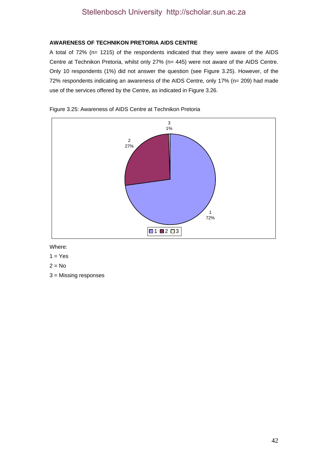# **AWARENESS OF TECHNIKON PRETORIA AIDS CENTRE**

A total of 72% (n= 1215) of the respondents indicated that they were aware of the AIDS Centre at Technikon Pretoria, whilst only 27% (n= 445) were not aware of the AIDS Centre. Only 10 respondents (1%) did not answer the question (see Figure 3.25). However, of the 72% respondents indicating an awareness of the AIDS Centre, only 17% (n= 209) had made use of the services offered by the Centre, as indicated in Figure 3.26.



Figure 3.25: Awareness of AIDS Centre at Technikon Pretoria

Where:

- $1 = Yes$
- $2 = No$
- 3 = Missing responses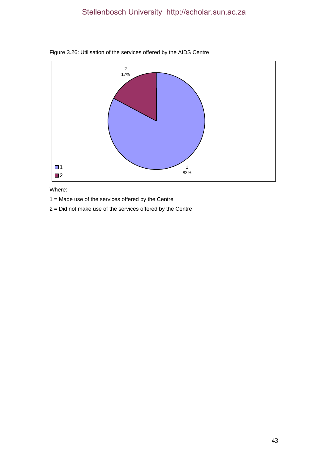

# Figure 3.26: Utilisation of the services offered by the AIDS Centre

Where:

1 = Made use of the services offered by the Centre

2 = Did not make use of the services offered by the Centre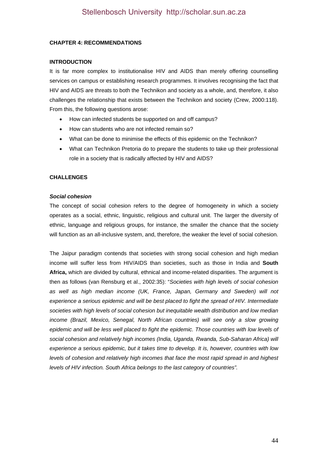### **CHAPTER 4: RECOMMENDATIONS**

### **INTRODUCTION**

It is far more complex to institutionalise HIV and AIDS than merely offering counselling services on campus or establishing research programmes. It involves recognising the fact that HIV and AIDS are threats to both the Technikon and society as a whole, and, therefore, it also challenges the relationship that exists between the Technikon and society (Crew, 2000:118). From this, the following questions arose:

- How can infected students be supported on and off campus?
- How can students who are not infected remain so?
- What can be done to minimise the effects of this epidemic on the Technikon?
- What can Technikon Pretoria do to prepare the students to take up their professional role in a society that is radically affected by HIV and AIDS?

### **CHALLENGES**

#### *Social cohesion*

The concept of social cohesion refers to the degree of homogeneity in which a society operates as a social, ethnic, linguistic, religious and cultural unit. The larger the diversity of ethnic, language and religious groups, for instance, the smaller the chance that the society will function as an all-inclusive system, and, therefore, the weaker the level of social cohesion.

The Jaipur paradigm contends that societies with strong social cohesion and high median income will suffer less from HIV/AIDS than societies, such as those in India and **South Africa,** which are divided by cultural, ethnical and income-related disparities. The argument is then as follows (van Rensburg et al., 2002:35): "*Societies with high levels of social cohesion as well as high median income (UK, France, Japan, Germany and Sweden) will not experience a serious epidemic and will be best placed to fight the spread of HIV. Intermediate societies with high levels of social cohesion but inequitable wealth distribution and low median income (Brazil, Mexico, Senegal, North African countries) will see only a slow growing*  epidemic and will be less well placed to fight the epidemic. Those countries with low levels of *social cohesion and relatively high incomes (India, Uganda, Rwanda, Sub-Saharan Africa) will experience a serious epidemic, but it takes time to develop. It is, however, countries with low levels of cohesion and relatively high incomes that face the most rapid spread in and highest levels of HIV infection. South Africa belongs to the last category of countries".*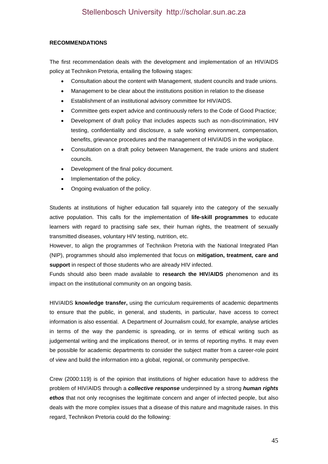### **RECOMMENDATIONS**

The first recommendation deals with the development and implementation of an HIV/AIDS policy at Technikon Pretoria, entailing the following stages:

- Consultation about the content with Management, student councils and trade unions.
- Management to be clear about the institutions position in relation to the disease
- Establishment of an institutional advisory committee for HIV/AIDS.
- Committee gets expert advice and continuously refers to the Code of Good Practice;
- Development of draft policy that includes aspects such as non-discrimination, HIV testing, confidentiality and disclosure, a safe working environment, compensation, benefits, grievance procedures and the management of HIV/AIDS in the workplace.
- Consultation on a draft policy between Management, the trade unions and student councils.
- Development of the final policy document.
- Implementation of the policy.
- Ongoing evaluation of the policy.

Students at institutions of higher education fall squarely into the category of the sexually active population. This calls for the implementation of **life-skill programmes** to educate learners with regard to practising safe sex, their human rights, the treatment of sexually transmitted diseases, voluntary HIV testing, nutrition, etc.

However, to align the programmes of Technikon Pretoria with the National Integrated Plan (NIP), programmes should also implemented that focus on **mitigation, treatment, care and support** in respect of those students who are already HIV infected.

Funds should also been made available to **research the HIV/AIDS** phenomenon and its impact on the institutional community on an ongoing basis.

HIV/AIDS **knowledge transfer,** using the curriculum requirements of academic departments to ensure that the public, in general, and students, in particular, have access to correct information is also essential. A Department of Journalism could, for example, analyse articles in terms of the way the pandemic is spreading, or in terms of ethical writing such as judgemental writing and the implications thereof, or in terms of reporting myths. It may even be possible for academic departments to consider the subject matter from a career-role point of view and build the information into a global, regional, or community perspective.

Crew (2000:119) is of the opinion that institutions of higher education have to address the problem of HIV/AIDS through a *collective response* underpinned by a strong *human rights ethos* that not only recognises the legitimate concern and anger of infected people, but also deals with the more complex issues that a disease of this nature and magnitude raises. In this regard, Technikon Pretoria could do the following: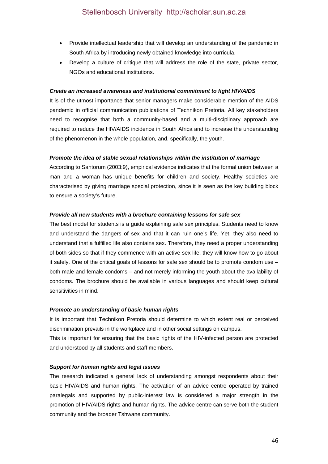- Provide intellectual leadership that will develop an understanding of the pandemic in South Africa by introducing newly obtained knowledge into curricula.
- Develop a culture of critique that will address the role of the state, private sector, NGOs and educational institutions.

#### *Create an increased awareness and institutional commitment to fight HIV/AIDS*

It is of the utmost importance that senior managers make considerable mention of the AIDS pandemic in official communication publications of Technikon Pretoria. All key stakeholders need to recognise that both a community-based and a multi-disciplinary approach are required to reduce the HIV/AIDS incidence in South Africa and to increase the understanding of the phenomenon in the whole population, and, specifically, the youth.

#### *Promote the idea of stable sexual relationships within the institution of marriage*

According to Santorum (2003:9), empirical evidence indicates that the formal union between a man and a woman has unique benefits for children and society. Healthy societies are characterised by giving marriage special protection, since it is seen as the key building block to ensure a society's future.

#### *Provide all new students with a brochure containing lessons for safe sex*

The best model for students is a guide explaining safe sex principles. Students need to know and understand the dangers of sex and that it can ruin one's life. Yet, they also need to understand that a fulfilled life also contains sex. Therefore, they need a proper understanding of both sides so that if they commence with an active sex life, they will know how to go about it safely. One of the critical goals of lessons for safe sex should be to promote condom use – both male and female condoms – and not merely informing the youth about the availability of condoms. The brochure should be available in various languages and should keep cultural sensitivities in mind.

#### *Promote an understanding of basic human rights*

It is important that Technikon Pretoria should determine to which extent real or perceived discrimination prevails in the workplace and in other social settings on campus.

This is important for ensuring that the basic rights of the HIV-infected person are protected and understood by all students and staff members.

#### *Support for human rights and legal issues*

The research indicated a general lack of understanding amongst respondents about their basic HIV/AIDS and human rights. The activation of an advice centre operated by trained paralegals and supported by public-interest law is considered a major strength in the promotion of HIV/AIDS rights and human rights. The advice centre can serve both the student community and the broader Tshwane community.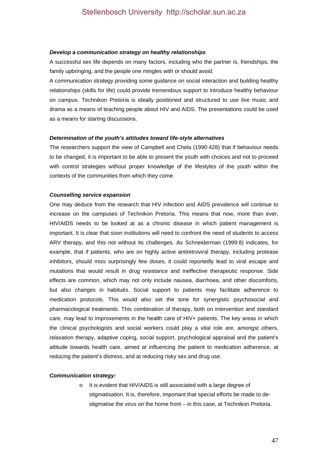#### *Develop a communication strategy on healthy relationships*

A successful sex life depends on many factors, including who the partner is, friendships, the family upbringing, and the people one mingles with or should avoid.

A communication strategy providing some guidance on social interaction and building healthy relationships (skills for life) could provide tremendous support to introduce healthy behaviour on campus. Technikon Pretoria is ideally positioned and structured to use live music and drama as a means of teaching people about HIV and AIDS. The presentations could be used as a means for starting discussions.

#### *Determination of the youth's attitudes toward life-style alternatives*

The researchers support the view of Campbell and Chela (1990:428) that if behaviour needs to be changed, it is important to be able to present the youth with choices and not to proceed with control strategies without proper knowledge of the lifestyles of the youth within the contexts of the communities from which they come.

#### *Counselling service expansion*

One may deduce from the research that HIV infection and AIDS prevalence will continue to increase on the campuses of Technikon Pretoria. This means that now, more than ever, HIV/AIDS needs to be looked at as a chronic disease in which patient management is important. It is clear that soon institutions will need to confront the need of students to access ARV therapy, and this not without its challenges. As Schneiderman (1999:8) indicates, for example, that if patients, who are on highly active antiretroviral therapy, including protease inhibitors, should miss surprisingly few doses, it could reportedly lead to viral escape and mutations that would result in drug resistance and ineffective therapeutic response. Side effects are common, which may not only include nausea, diarrhoea, and other discomforts, but also changes in habitués. Social support to patients may facilitate adherence to medication protocols. This would also set the tone for synergistic psychosocial and pharmacological treatments. This combination of therapy, both on intervention and standard care, may lead to improvements in the health care of HIV+ patients. The key areas in which the clinical psychologists and social workers could play a vital role are, amongst others, relaxation therapy, adaptive coping, social support, psychological appraisal and the patient's attitude towards health care, aimed at influencing the patient to medication adherence, at reducing the patient's distress, and at reducing risky sex and drug use.

#### *Communication strategy:*

o It is evident that HIV/AIDS is still associated with a large degree of stigmatisation. It is, therefore, important that special efforts be made to destigmatise the virus on the home front – in this case, at Technikon Pretoria.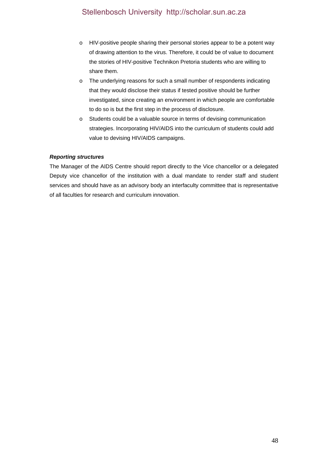- o HIV-positive people sharing their personal stories appear to be a potent way of drawing attention to the virus. Therefore, it could be of value to document the stories of HIV-positive Technikon Pretoria students who are willing to share them.
- o The underlying reasons for such a small number of respondents indicating that they would disclose their status if tested positive should be further investigated, since creating an environment in which people are comfortable to do so is but the first step in the process of disclosure.
- o Students could be a valuable source in terms of devising communication strategies. Incorporating HIV/AIDS into the curriculum of students could add value to devising HIV/AIDS campaigns.

# *Reporting structures*

The Manager of the AIDS Centre should report directly to the Vice chancellor or a delegated Deputy vice chancellor of the institution with a dual mandate to render staff and student services and should have as an advisory body an interfaculty committee that is representative of all faculties for research and curriculum innovation.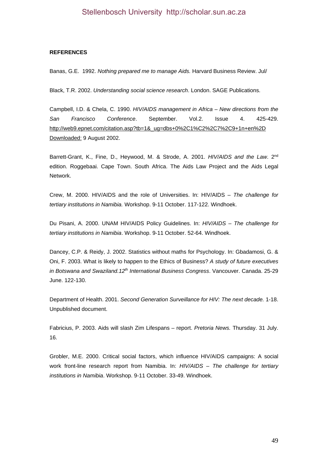### **REFERENCES**

Banas, G.E. 1992. *Nothing prepared me to manage Aids.* Harvard Business Review. Jul/

Black, T.R. 2002. *Understanding social science research*. London. SAGE Publications.

Campbell, I.D. & Chela, C. 1990. *HIV/AIDS management in Africa – New directions from the San Francisco Conference*. September. Vol.2. Issue 4. 425-429. http://web9.epnet.com/citation.asp?tb=1&\_ug=dbs+0%2C1%C2%2C7%2C9+1n+en%2D Downloaded: 9 August 2002.

Barrett-Grant, K., Fine, D., Heywood, M. & Strode, A. 2001. *HIV/AIDS and the Law*. 2nd edition. Roggebaai. Cape Town. South Africa. The Aids Law Project and the Aids Legal Network.

Crew, M. 2000. HIV/AIDS and the role of Universities. In: HIV/AIDS – *The challenge for tertiary institutions in Namibia.* Workshop. 9-11 October. 117-122. Windhoek.

Du Pisani, A. 2000. UNAM HIV/AIDS Policy Guidelines. In: *HIV/AIDS – The challenge for tertiary institutions in Namibia*. Workshop. 9-11 October. 52-64. Windhoek.

Dancey, C.P. & Reidy, J. 2002. Statistics without maths for Psychology. In: Gbadamosi, G. & Oni, F. 2003. What is likely to happen to the Ethics of Business? *A study of future executives in Botswana and Swaziland.12th International Business Congress*. Vancouver. Canada. 25-29 June. 122-130.

Department of Health. 2001. *Second Generation Surveillance for HIV: The next decade.* 1-18. Unpublished document.

Fabricius, P. 2003. Aids will slash Zim Lifespans – report. *Pretoria News.* Thursday. 31 July. 16.

Grobler, M.E. 2000. Critical social factors, which influence HIV/AIDS campaigns: A social work front-line research report from Namibia. In: *HIV/AIDS – The challenge for tertiary institutions in Namibia*. Workshop. 9-11 October. 33-49. Windhoek.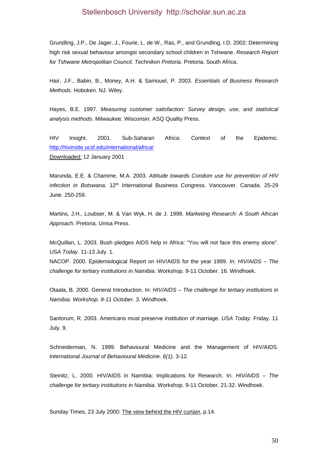Grundling, J.P., De Jager, J., Fourie, L. de W., Ras, P., and Grundling, I.D. 2002: Determining high risk sexual behaviour amongst secondary school children in Tshwane. *Research Report for Tshwane Metropolitan Council. Technikon Pretoria*. Pretoria. South Africa.

Hair, J.F., Babin, B., Money, A.H. & Samouel, P. 2003. *Essentials of Business Research Methods*. Hoboken. NJ. Wiley.

Hayes, B.E. 1997. *Measuring customer satisfaction: Survey design, use, and statistical analysis methods*. Milwaukee. Wisconsin. ASQ Quality Press.

HIV Insight. 2001. Sub-Saharan Africa: Context of the Epidemic. http://hivinsite.ucsf.edu/international/africa/ Downloaded: 12 January 2001

Marunda, E.E. & Chamme, M.A. 2003. *Attitude towards Condom use for prevention of HIV infection in Botswana*. 12th International Business Congress. Vancouver. Canada. 25-29 June. 250-259.

Martins, J.H., Loubser, M. & Van Wyk, H. de J. 1999. *Marketing Research: A South African Approach*. Pretoria. Unisa Press.

McQuillan, L. 2003. Bush pledges AIDS help in Africa: "You will not face this enemy alone". *USA Today*. 11-13 July. 1.

NACOP. 2000. Epidemiological Report on HIV/AIDS for the year 1999. In: *HIV/AIDS – The challenge for tertiary institutions in Namibia*. Workshop. 9-11 October. 16. Windhoek.

Otaala, B. 2000. General Introduction. In: *HIV/AIDS – The challenge for tertiary institutions in Namibia. Workshop. 9-11 October*. 3. Windhoek.

Santorum, R. 2003. Americans must preserve institution of marriage. *USA Today*. Friday. 11 July. 9.

Schneiderman, N. 1999. Behavioural Medicine and the Management of HIV/AIDS. *International Journal of Behavioural Medicine. 6(1).* 3-12.

Steinitz, L. 2000. HIV/AIDS in Namibia: Implications for Research. In: *HIV/AIDS – The challenge for tertiary institutions in Namibia*. Workshop. 9-11 October. 21-32. Windhoek.

Sunday Times, 23 July 2000: The view behind the HIV curtain, p.14.

50